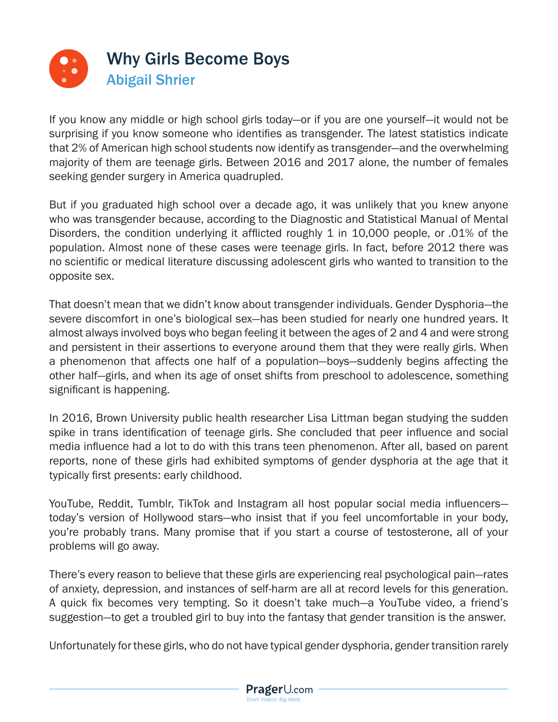

If you know any middle or high school girls today—or if you are one yourself—it would not be surprising if you know someone who identifies as transgender. The latest statistics indicate that 2% of American high school students now identify as transgender—and the overwhelming majority of them are teenage girls. Between 2016 and 2017 alone, the number of females seeking gender surgery in America quadrupled.

But if you graduated high school over a decade ago, it was unlikely that you knew anyone who was transgender because, according to the Diagnostic and Statistical Manual of Mental Disorders, the condition underlying it afflicted roughly 1 in 10,000 people, or .01% of the population. Almost none of these cases were teenage girls. In fact, before 2012 there was no scientific or medical literature discussing adolescent girls who wanted to transition to the opposite sex.

That doesn't mean that we didn't know about transgender individuals. Gender Dysphoria—the severe discomfort in one's biological sex—has been studied for nearly one hundred years. It almost always involved boys who began feeling it between the ages of 2 and 4 and were strong and persistent in their assertions to everyone around them that they were really girls. When a phenomenon that affects one half of a population—boys—suddenly begins affecting the other half—girls, and when its age of onset shifts from preschool to adolescence, something significant is happening.

In 2016, Brown University public health researcher Lisa Littman began studying the sudden spike in trans identification of teenage girls. She concluded that peer influence and social media influence had a lot to do with this trans teen phenomenon. After all, based on parent reports, none of these girls had exhibited symptoms of gender dysphoria at the age that it typically first presents: early childhood.

YouTube, Reddit, Tumblr, TikTok and Instagram all host popular social media influencers today's version of Hollywood stars—who insist that if you feel uncomfortable in your body, you're probably trans. Many promise that if you start a course of testosterone, all of your problems will go away.

There's every reason to believe that these girls are experiencing real psychological pain—rates of anxiety, depression, and instances of self-harm are all at record levels for this generation. A quick fix becomes very tempting. So it doesn't take much—a YouTube video, a friend's suggestion—to get a troubled girl to buy into the fantasy that gender transition is the answer.

Unfortunately for these girls, who do not have typical gender dysphoria, gender transition rarely